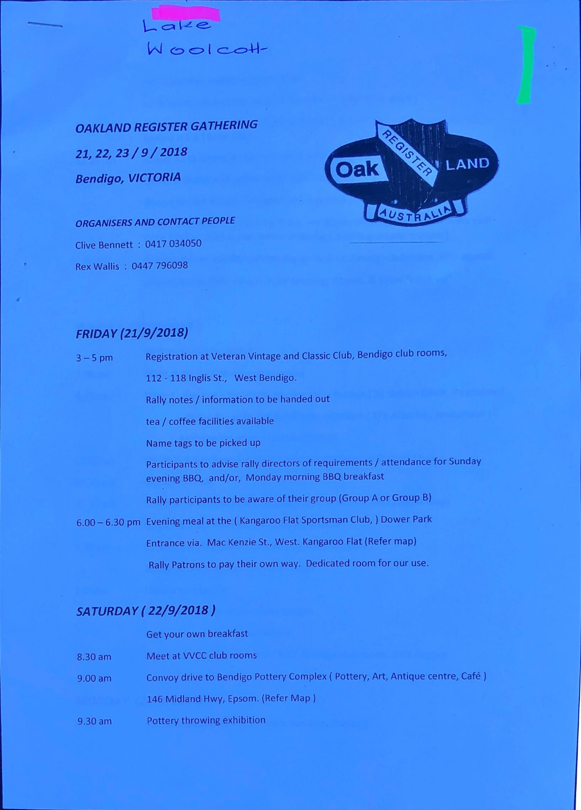

OAKLAND REGISTER GATHERING 21, 22, 23 / 9/2018 Bendigo, VICTORIA



ORGANISERS AND CONTACT PEOPLE Clive Bennett : 0417 034050 Rex Wallis : 0447 796098

## FRIDAY (21/9/2018)

| $3 - 5$ pm | Registration at Veteran Vintage and Classic Club, Bendigo club rooms,                                                               |  |
|------------|-------------------------------------------------------------------------------------------------------------------------------------|--|
|            | 112 - 118 Inglis St., West Bendigo.                                                                                                 |  |
|            | Rally notes / information to be handed out                                                                                          |  |
|            | tea / coffee facilities available                                                                                                   |  |
|            | Name tags to be picked up                                                                                                           |  |
|            | Participants to advise rally directors of requirements / attendance for Sunday<br>evening BBQ, and/or, Monday morning BBQ breakfast |  |
|            | Rally participants to be aware of their group (Group A or Group B)                                                                  |  |
|            | 6.00 - 6.30 pm Evening meal at the (Kangaroo Flat Sportsman Club, ) Dower Park                                                      |  |
|            | Entrance via. Mac Kenzie St., West. Kangaroo Flat (Refer map)                                                                       |  |
|            | Rally Patrons to pay their own way. Dedicated room for our use.                                                                     |  |

## SATURDAY ( 22/9/2018 )

## Get your own breakfast

| 8.30 am   | Meet at VVCC club rooms                                                      |
|-----------|------------------------------------------------------------------------------|
| $9.00$ am | Convoy drive to Bendigo Pottery Complex (Pottery, Art, Antique centre, Café) |
|           | 146 Midland Hwy, Epsom. (Refer Map)                                          |
| $9.30$ am | Pottery throwing exhibition                                                  |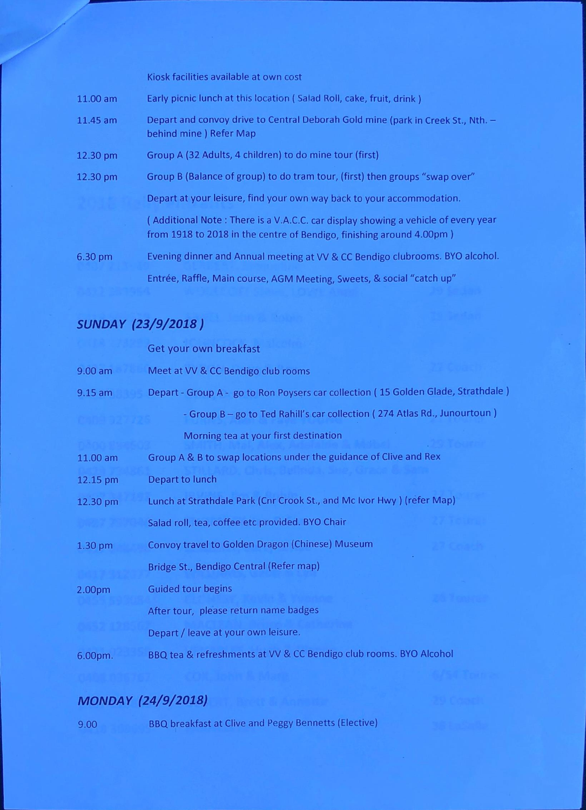Kiosk facilities available at own cost

| 11.00 am | Early picnic lunch at this location (Salad Roll, cake, fruit, drink)                                                                                     |
|----------|----------------------------------------------------------------------------------------------------------------------------------------------------------|
| 11.45 am | Depart and convoy drive to Central Deborah Gold mine (park in Creek St., Nth. -<br>behind mine ) Refer Map                                               |
| 12.30 pm | Group A (32 Adults, 4 children) to do mine tour (first)                                                                                                  |
| 12.30 pm | Group B (Balance of group) to do tram tour, (first) then groups "swap over"                                                                              |
|          | Depart at your leisure, find your own way back to your accommodation.                                                                                    |
|          | Additional Note: There is a V.A.C.C. car display showing a vehicle of every year<br>from 1918 to 2018 in the centre of Bendigo, finishing around 4.00pm) |
| 6.30 pm  | Evening dinner and Annual meeting at VV & CC Bendigo clubrooms. BYO alcohol.                                                                             |
|          | Entrée, Raffle, Main course, AGM Meeting, Sweets, & social "catch up"                                                                                    |

|           | Get your own breakfast                                                            |  |
|-----------|-----------------------------------------------------------------------------------|--|
| 9.00 am   | Meet at VV & CC Bendigo club rooms                                                |  |
| $9.15$ am | Depart - Group A - go to Ron Poysers car collection (15 Golden Glade, Strathdale) |  |
|           | - Group B - go to Ted Rahill's car collection (274 Atlas Rd., Junourtoun)         |  |
|           | Morning tea at your first destination                                             |  |
| 11.00 am  | Group A & B to swap locations under the guidance of Clive and Rex                 |  |
| 12.15 pm  | Depart to lunch                                                                   |  |
| 12.30 pm  | Lunch at Strathdale Park (Cnr Crook St., and Mc Ivor Hwy) (refer Map)             |  |
|           | Salad roll, tea, coffee etc provided. BYO Chair                                   |  |
| 1.30 pm   | Convoy travel to Golden Dragon (Chinese) Museum                                   |  |
|           | Bridge St., Bendigo Central (Refer map)                                           |  |
| 2.00pm    | <b>Guided tour begins</b>                                                         |  |
|           | After tour, please return name badges                                             |  |
|           | Depart / leave at your own leisure.                                               |  |
| 6.00pm.   | BBQ tea & refreshments at VV & CC Bendigo club rooms. BYO Alcohol                 |  |
|           |                                                                                   |  |

9.00 BBQ breakfast at Clive and Peggy Bennetts (Elective)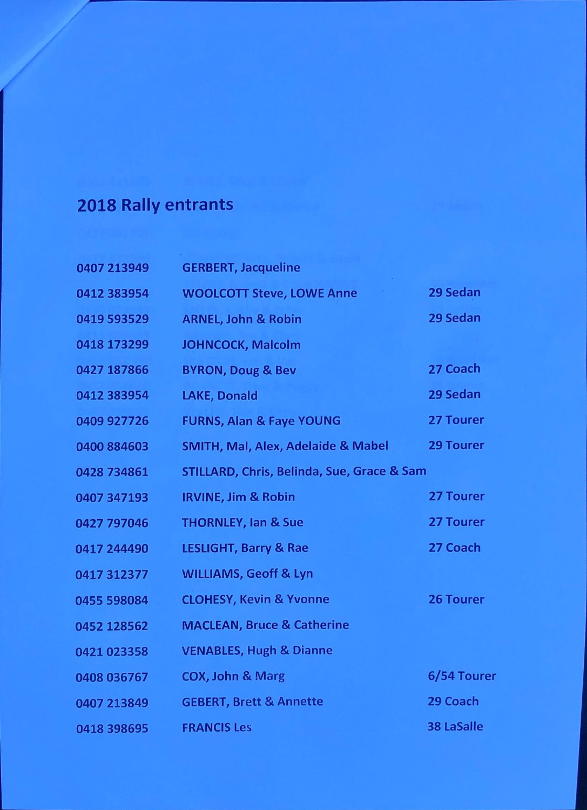## 2018 Rally entrants

| 0407 213949 | <b>GERBERT, Jacqueline</b>                            |                   |
|-------------|-------------------------------------------------------|-------------------|
| 0412 383954 | <b>WOOLCOTT Steve, LOWE Anne</b>                      | 29 Sedan          |
| 0419 593529 | <b>ARNEL, John &amp; Robin</b>                        | 29 Sedan          |
| 0418 173299 | <b>JOHNCOCK, Malcolm</b>                              |                   |
| 0427 187866 | <b>BYRON, Doug &amp; Bev</b>                          | 27 Coach          |
| 0412 383954 | <b>LAKE, Donald</b>                                   | 29 Sedan          |
| 0409 927726 | <b>FURNS, Alan &amp; Faye YOUNG</b>                   | 27 Tourer         |
| 0400 884603 | <b>SMITH, Mal, Alex, Adelaide &amp; Mabel</b>         | <b>29 Tourer</b>  |
| 0428 734861 | <b>STILLARD, Chris, Belinda, Sue, Grace &amp; Sam</b> |                   |
| 0407 347193 | <b>IRVINE, Jim &amp; Robin</b>                        | <b>27 Tourer</b>  |
| 0427 797046 | <b>THORNLEY, Ian &amp; Sue</b>                        | 27 Tourer         |
| 0417 244490 | <b>LESLIGHT, Barry &amp; Rae</b>                      | 27 Coach          |
| 0417 312377 | <b>WILLIAMS, Geoff &amp; Lyn</b>                      |                   |
| 0455 598084 | <b>CLOHESY, Kevin &amp; Yvonne</b>                    | <b>26 Tourer</b>  |
| 0452 128562 | <b>MACLEAN, Bruce &amp; Catherine</b>                 |                   |
| 0421 023358 | <b>VENABLES, Hugh &amp; Dianne</b>                    |                   |
| 0408 036767 | <b>COX, John &amp; Marg</b>                           | 6/54 Tourer       |
| 0407 213849 | <b>GEBERT, Brett &amp; Annette</b>                    | 29 Coach          |
| 0418 398695 | <b>FRANCIS Les</b>                                    | <b>38 LaSalle</b> |